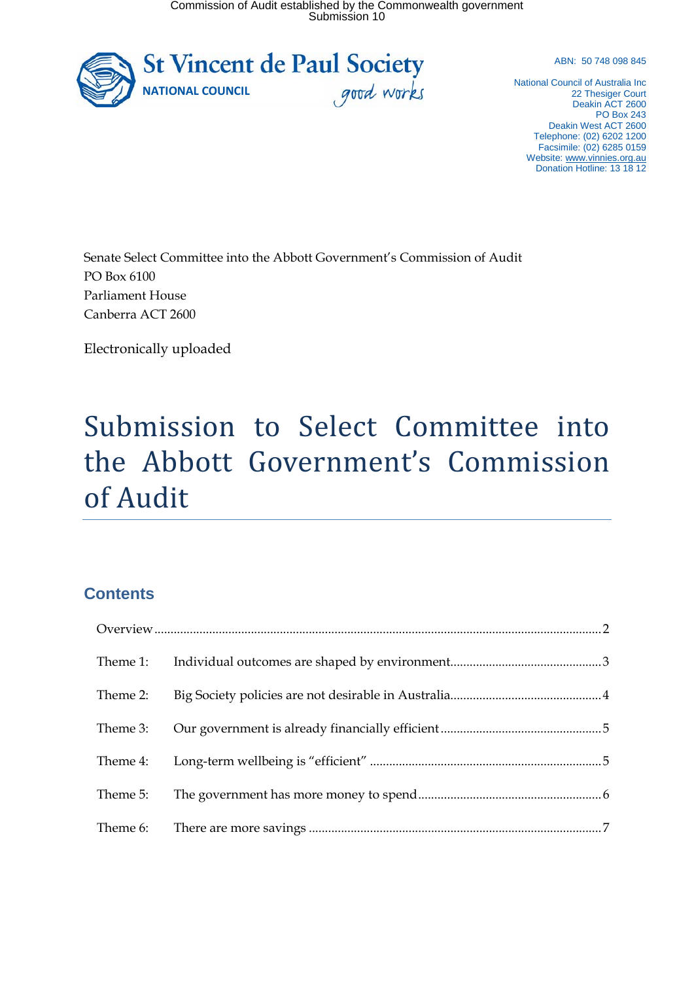Commission of Audit established by the Commonwealth government Submission 10



ABN: 50 748 098 845

National Council of Australia Inc 22 Thesiger Court Deakin ACT 2600 PO Box 243 Deakin West ACT 2600 Telephone: (02) 6202 1200 Facsimile: (02) 6285 0159 Website: [www.vinnies.org.au](http://www.vinnies.org.au/) Donation Hotline: 13 18 12

Senate Select Committee into the Abbott Government's Commission of Audit PO Box 6100 Parliament House Canberra ACT 2600

Electronically uploaded

# Submission to Select Committee into the Abbott Government's Commission of Audit

## **Contents**

| Theme 3: |  |
|----------|--|
|          |  |
|          |  |
|          |  |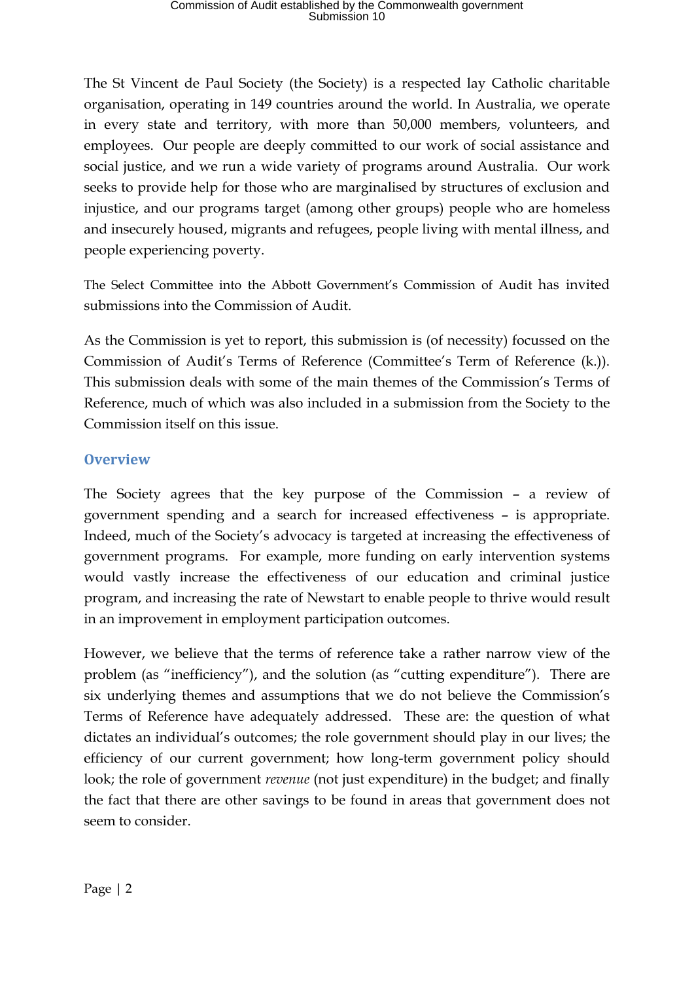The St Vincent de Paul Society (the Society) is a respected lay Catholic charitable organisation, operating in 149 countries around the world. In Australia, we operate in every state and territory, with more than 50,000 members, volunteers, and employees. Our people are deeply committed to our work of social assistance and social justice, and we run a wide variety of programs around Australia. Our work seeks to provide help for those who are marginalised by structures of exclusion and injustice, and our programs target (among other groups) people who are homeless and insecurely housed, migrants and refugees, people living with mental illness, and people experiencing poverty.

The Select Committee into the Abbott Government's Commission of Audit has invited submissions into the Commission of Audit.

As the Commission is yet to report, this submission is (of necessity) focussed on the Commission of Audit's Terms of Reference (Committee's Term of Reference (k.)). This submission deals with some of the main themes of the Commission's Terms of Reference, much of which was also included in a submission from the Society to the Commission itself on this issue.

#### <span id="page-1-0"></span>**Overview**

The Society agrees that the key purpose of the Commission – a review of government spending and a search for increased effectiveness – is appropriate. Indeed, much of the Society's advocacy is targeted at increasing the effectiveness of government programs. For example, more funding on early intervention systems would vastly increase the effectiveness of our education and criminal justice program, and increasing the rate of Newstart to enable people to thrive would result in an improvement in employment participation outcomes.

However, we believe that the terms of reference take a rather narrow view of the problem (as "inefficiency"), and the solution (as "cutting expenditure"). There are six underlying themes and assumptions that we do not believe the Commission's Terms of Reference have adequately addressed. These are: the question of what dictates an individual's outcomes; the role government should play in our lives; the efficiency of our current government; how long-term government policy should look; the role of government *revenue* (not just expenditure) in the budget; and finally the fact that there are other savings to be found in areas that government does not seem to consider.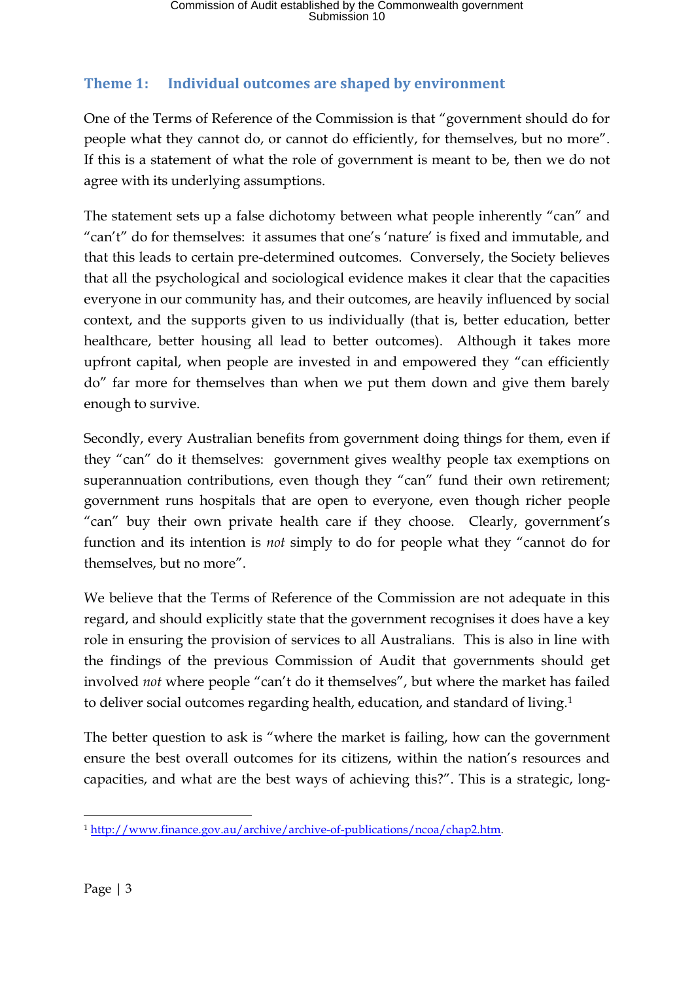## <span id="page-2-0"></span>**Theme 1: Individual outcomes are shaped by environment**

One of the Terms of Reference of the Commission is that "government should do for people what they cannot do, or cannot do efficiently, for themselves, but no more". If this is a statement of what the role of government is meant to be, then we do not agree with its underlying assumptions.

The statement sets up a false dichotomy between what people inherently "can" and "can't" do for themselves: it assumes that one's 'nature' is fixed and immutable, and that this leads to certain pre-determined outcomes. Conversely, the Society believes that all the psychological and sociological evidence makes it clear that the capacities everyone in our community has, and their outcomes, are heavily influenced by social context, and the supports given to us individually (that is, better education, better healthcare, better housing all lead to better outcomes). Although it takes more upfront capital, when people are invested in and empowered they "can efficiently do" far more for themselves than when we put them down and give them barely enough to survive.

Secondly, every Australian benefits from government doing things for them, even if they "can" do it themselves: government gives wealthy people tax exemptions on superannuation contributions, even though they "can" fund their own retirement; government runs hospitals that are open to everyone, even though richer people "can" buy their own private health care if they choose. Clearly, government's function and its intention is *not* simply to do for people what they "cannot do for themselves, but no more".

We believe that the Terms of Reference of the Commission are not adequate in this regard, and should explicitly state that the government recognises it does have a key role in ensuring the provision of services to all Australians. This is also in line with the findings of the previous Commission of Audit that governments should get involved *not* where people "can't do it themselves", but where the market has failed to deliver social outcomes regarding health, education, and standard of living.[1](#page-2-1)

The better question to ask is "where the market is failing, how can the government ensure the best overall outcomes for its citizens, within the nation's resources and capacities, and what are the best ways of achieving this?". This is a strategic, long-

<span id="page-2-1"></span><sup>1</sup> [http://www.finance.gov.au/archive/archive-of-publications/ncoa/chap2.htm.](http://www.finance.gov.au/archive/archive-of-publications/ncoa/chap2.htm) <u>.</u>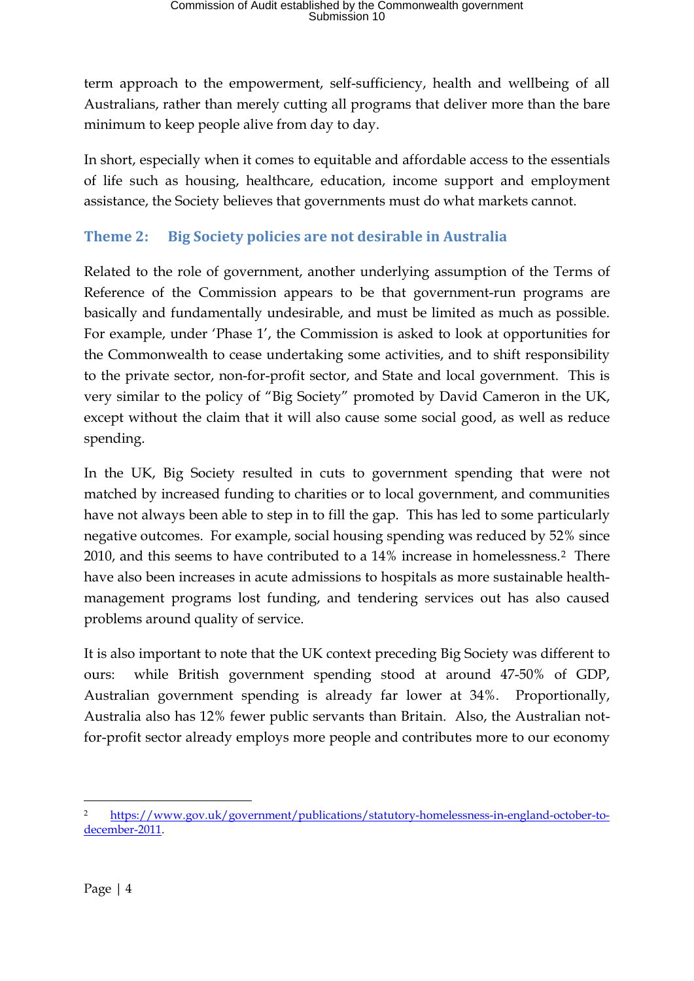term approach to the empowerment, self-sufficiency, health and wellbeing of all Australians, rather than merely cutting all programs that deliver more than the bare minimum to keep people alive from day to day.

In short, especially when it comes to equitable and affordable access to the essentials of life such as housing, healthcare, education, income support and employment assistance, the Society believes that governments must do what markets cannot.

## <span id="page-3-0"></span>**Theme 2: Big Society policies are not desirable in Australia**

Related to the role of government, another underlying assumption of the Terms of Reference of the Commission appears to be that government-run programs are basically and fundamentally undesirable, and must be limited as much as possible. For example, under 'Phase 1', the Commission is asked to look at opportunities for the Commonwealth to cease undertaking some activities, and to shift responsibility to the private sector, non-for-profit sector, and State and local government. This is very similar to the policy of "Big Society" promoted by David Cameron in the UK, except without the claim that it will also cause some social good, as well as reduce spending.

In the UK, Big Society resulted in cuts to government spending that were not matched by increased funding to charities or to local government, and communities have not always been able to step in to fill the gap. This has led to some particularly negative outcomes. For example, social housing spending was reduced by 52% since 2010, and this seems to have contributed to a [14% increase](http://www.communities.gov.uk/publications/corporate/statistics/homelessnessq42011) in homelessness.[2](#page-3-1) There have also been increases in acute admissions to hospitals as more sustainable healthmanagement programs lost funding, and tendering services out has also caused problems around quality of service.

It is also important to note that the UK context preceding Big Society was different to ours: while British government spending stood at around 47-50% of GDP, Australian government spending is already far lower at 34%. Proportionally, Australia also has 12% fewer public servants than Britain. Also, the Australian notfor-profit sector already employs more people and contributes more to our economy

<span id="page-3-1"></span><sup>2</sup> [https://www.gov.uk/government/publications/statutory-homelessness-in-england-october-to](https://www.gov.uk/government/publications/statutory-homelessness-in-england-october-to-december-2011)[december-2011.](https://www.gov.uk/government/publications/statutory-homelessness-in-england-october-to-december-2011) <u>.</u>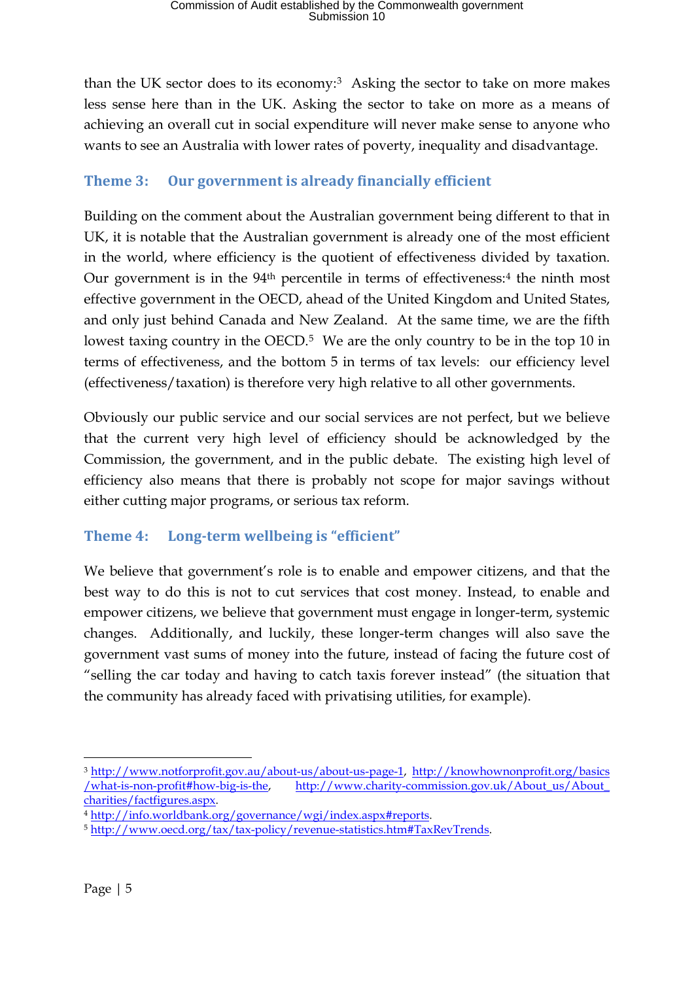than the UK sector does to its economy:[3](#page-4-2) Asking the sector to take on more makes less sense here than in the UK. Asking the sector to take on more as a means of achieving an overall cut in social expenditure will never make sense to anyone who wants to see an Australia with lower rates of poverty, inequality and disadvantage.

### <span id="page-4-0"></span>**Theme 3: Our government is already financially efficient**

Building on the comment about the Australian government being different to that in UK, it is notable that the Australian government is already one of the most efficient in the world, where efficiency is the quotient of effectiveness divided by taxation. Our government is in the  $94<sup>th</sup>$  $94<sup>th</sup>$  $94<sup>th</sup>$  percentile in terms of effectiveness:<sup>4</sup> the ninth most effective government in the OECD, ahead of the United Kingdom and United States, and only just behind Canada and New Zealand. At the same time, we are the fifth lowest taxing country in the OECD.<sup>[5](#page-4-4)</sup> We are the only country to be in the top 10 in terms of effectiveness, and the bottom 5 in terms of tax levels: our efficiency level (effectiveness/taxation) is therefore very high relative to all other governments.

Obviously our public service and our social services are not perfect, but we believe that the current very high level of efficiency should be acknowledged by the Commission, the government, and in the public debate. The existing high level of efficiency also means that there is probably not scope for major savings without either cutting major programs, or serious tax reform.

#### <span id="page-4-1"></span>**Theme 4: Long-term wellbeing is "efficient"**

We believe that government's role is to enable and empower citizens, and that the best way to do this is not to cut services that cost money. Instead, to enable and empower citizens, we believe that government must engage in longer-term, systemic changes. Additionally, and luckily, these longer-term changes will also save the government vast sums of money into the future, instead of facing the future cost of "selling the car today and having to catch taxis forever instead" (the situation that the community has already faced with privatising utilities, for example).

-

<span id="page-4-2"></span><sup>3</sup> [http://www.notforprofit.gov.au/about-us/about-us-page-1,](http://www.notforprofit.gov.au/about-us/about-us-page-1) [http://knowhownonprofit.org/basics](http://knowhownonprofit.org/basics/what-is-non-profit%23how-big-is-the) [/what-is-non-profit#how-big-is-the,](http://knowhownonprofit.org/basics/what-is-non-profit%23how-big-is-the) [http://www.charity-commission.gov.uk/About\\_us/About\\_](http://www.charity-commission.gov.uk/About_us/About_charities/factfigures.aspx) [charities/factfigures.aspx.](http://www.charity-commission.gov.uk/About_us/About_charities/factfigures.aspx)

<span id="page-4-4"></span><span id="page-4-3"></span><sup>4</sup> [http://info.worldbank.org/governance/wgi/index.aspx#reports.](http://info.worldbank.org/governance/wgi/index.aspx%23reports) 5 [http://www.oecd.org/tax/tax-policy/revenue-statistics.htm#TaxRevTrends.](http://www.oecd.org/tax/tax-policy/revenue-statistics.htm%23TaxRevTrends)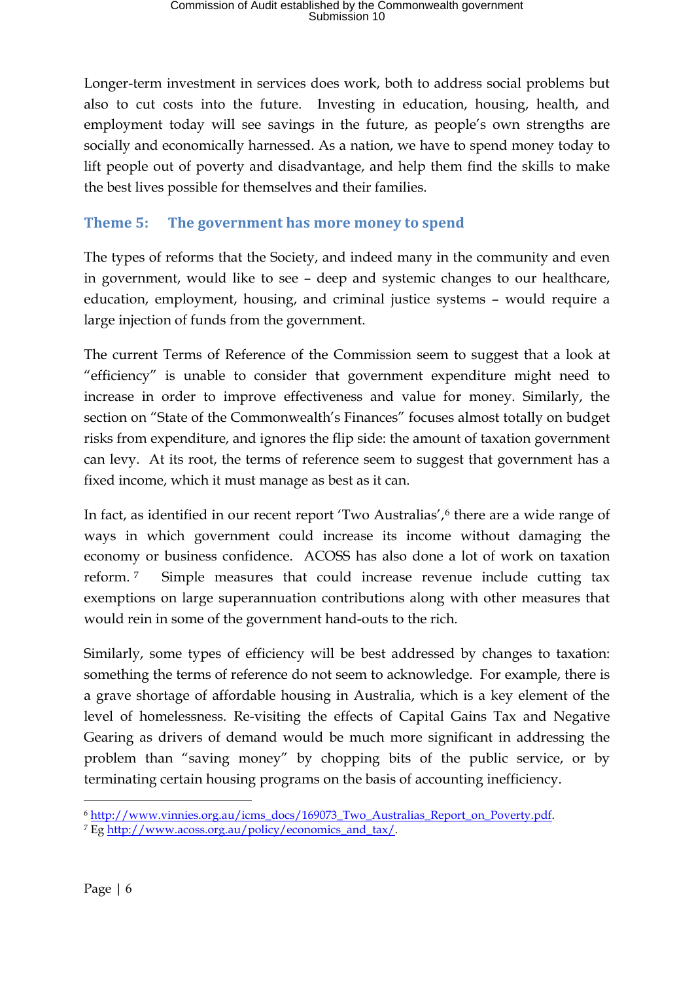Longer-term investment in services does work, both to address social problems but also to cut costs into the future. Investing in education, housing, health, and employment today will see savings in the future, as people's own strengths are socially and economically harnessed. As a nation, we have to spend money today to lift people out of poverty and disadvantage, and help them find the skills to make the best lives possible for themselves and their families.

#### <span id="page-5-0"></span>**Theme 5: The government has more money to spend**

The types of reforms that the Society, and indeed many in the community and even in government, would like to see – deep and systemic changes to our healthcare, education, employment, housing, and criminal justice systems – would require a large injection of funds from the government.

The current Terms of Reference of the Commission seem to suggest that a look at "efficiency" is unable to consider that government expenditure might need to increase in order to improve effectiveness and value for money. Similarly, the section on "State of the Commonwealth's Finances" focuses almost totally on budget risks from expenditure, and ignores the flip side: the amount of taxation government can levy. At its root, the terms of reference seem to suggest that government has a fixed income, which it must manage as best as it can.

In fact, as identified in our recent report 'Two Australias',<sup>[6](#page-5-1)</sup> there are a wide range of ways in which government could increase its income without damaging the economy or business confidence. ACOSS has also done a lot of work on taxation reform. [7](#page-5-2) Simple measures that could increase revenue include cutting tax exemptions on large superannuation contributions along with other measures that would rein in some of the government hand-outs to the rich.

Similarly, some types of efficiency will be best addressed by changes to taxation: something the terms of reference do not seem to acknowledge. For example, there is a grave shortage of affordable housing in Australia, which is a key element of the level of homelessness. Re-visiting the effects of Capital Gains Tax and Negative Gearing as drivers of demand would be much more significant in addressing the problem than "saving money" by chopping bits of the public service, or by terminating certain housing programs on the basis of accounting inefficiency.

<u>.</u>

<span id="page-5-2"></span><span id="page-5-1"></span><sup>6</sup> [http://www.vinnies.org.au/icms\\_docs/169073\\_Two\\_Australias\\_Report\\_on\\_Poverty.pdf.](http://www.vinnies.org.au/icms_docs/169073_Two_Australias_Report_on_Poverty.pdf) 7 Eg [http://www.acoss.org.au/policy/economics\\_and\\_tax/.](http://www.acoss.org.au/policy/economics_and_tax/)